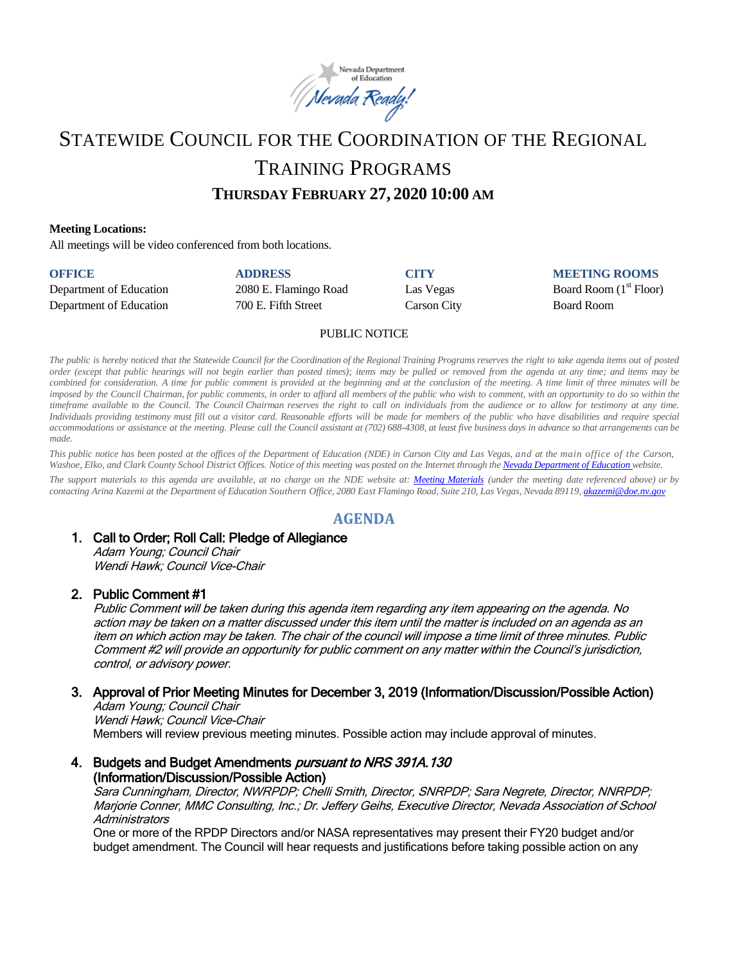

# STATEWIDE COUNCIL FOR THE COORDINATION OF THE REGIONAL TRAINING PROGRAMS

# **THURSDAY FEBRUARY 27, 2020 10:00 AM**

#### **Meeting Locations:**

All meetings will be video conferenced from both locations.

| <b>OFFICE</b>           | <b>ADDRESS</b>        | <b>CITY</b> | <b>MEETING ROOMS</b>     |
|-------------------------|-----------------------|-------------|--------------------------|
| Department of Education | 2080 E. Flamingo Road | Las Vegas   | Board Room $(1st$ Floor) |
| Department of Education | 700 E. Fifth Street   | Carson City | Board Room               |

#### PUBLIC NOTICE

The public is hereby noticed that the Statewide Council for the Coordination of the Regional Training Programs reserves the right to take agenda items out of posted order (except that public hearings will not begin earlier than posted times); items may be pulled or removed from the agenda at any time; and items may be combined for consideration. A time for public comment is provided at the beginning and at the conclusion of the meeting. A time limit of three minutes will be imposed by the Council Chairman, for public comments, in order to afford all members of the public who wish to comment, with an opportunity to do so within the timeframe available to the Council. The Council Chairman reserves the right to call on individuals from the audience or to allow for testimony at any time. Individuals providing testimony must fill out a visitor card. Reasonable efforts will be made for members of the public who have disabilities and require special accommodations or assistance at the meeting. Please call the Council assistant at (702) 688-4308, at least five business days in advance so that arrangements can be *made.*

This public notice has been posted at the offices of the Department of Education (NDE) in Carson City and Las Vegas, and at the main office of the Carson, Washoe, Elko, and Clark County School District Offices. Notice of this meeting was posted on the Internet through th[e Nevada Department](http://www.doe.nv.gov/) of Education website.

The support materials to this agenda are available, at no charge on the NDE website at: [Meeting Materials](http://www.doe.nv.gov/StateBoardEducationMeetings/) (under the meeting date referenced above) or by contacting Arina Kazemi at the Department of Education Southern Office, 2080 East Flamingo Road, Suite 210, Las Vegas, Nevada 89119[, akazemi@doe.nv.gov](mailto:akazemi@doe.nv.gov)

#### **AGENDA**

#### 1. Call to Order; Roll Call: Pledge of Allegiance

Adam Young; Council Chair Wendi Hawk; Council Vice-Chair

#### 2. Public Comment #1

Public Comment will be taken during this agenda item regarding any item appearing on the agenda. No action may be taken on a matter discussed under this item until the matter is included on an agenda as an item on which action may be taken. The chair of the council will impose a time limit of three minutes. Public Comment #2 will provide an opportunity for public comment on any matter within the Council's jurisdiction, control, or advisory power.

# 3. Approval of Prior Meeting Minutes for December 3, 2019 (Information/Discussion/Possible Action)

Adam Young; Council Chair Wendi Hawk; Council Vice-Chair Members will review previous meeting minutes. Possible action may include approval of minutes.

#### 4. Budgets and Budget Amendments pursuant to NRS 391A.130 (Information/Discussion/Possible Action)

Sara Cunningham, Director, NWRPDP; Chelli Smith, Director, SNRPDP; Sara Negrete, Director, NNRPDP; Marjorie Conner, MMC Consulting, Inc.; Dr. Jeffery Geihs, Executive Director, Nevada Association of School **Administrators** 

One or more of the RPDP Directors and/or NASA representatives may present their FY20 budget and/or budget amendment. The Council will hear requests and justifications before taking possible action on any